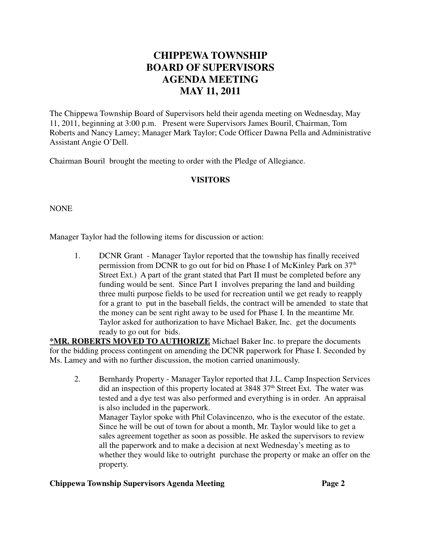## **CHIPPEWA TOWNSHIP BOARD OF SUPERVISORS AGENDA MEETING MAY 11, 2011**

The Chippewa Township Board of Supervisors held their agenda meeting on Wednesday, May 11, 2011, beginning at 3:00 p.m. Present were Supervisors James Bouril, Chairman, Tom Roberts and Nancy Lamey; Manager Mark Taylor; Code Officer Dawna Pella and Administrative Assistant Angie O'Dell.

Chairman Bouril brought the meeting to order with the Pledge of Allegiance.

## **VISITORS**

NONE

Manager Taylor had the following items for discussion or action:

1. DCNR Grant - Manager Taylor reported that the township has finally received permission from DCNR to go out for bid on Phase I of McKinley Park on 37<sup>th</sup> Street Ext.) A part of the grant stated that Part II must be completed before any funding would be sent. Since Part I involves preparing the land and building three multi purpose fields to be used for recreation until we get ready to reapply for a grant to put in the baseball fields, the contract will be amended to state that the money can be sent right away to be used for Phase I. In the meantime Mr. Taylor asked for authorization to have Michael Baker, Inc. get the documents ready to go out for bids.

**\*MR. ROBERTS MOVED TO AUTHORIZE** Michael Baker Inc. to prepare the documents for the bidding process contingent on amending the DCNR paperwork for Phase I. Seconded by Ms. Lamey and with no further discussion, the motion carried unanimously.

2. Bernhardy Property - Manager Taylor reported that J.L. Camp Inspection Services did an inspection of this property located at  $3848\,37<sup>th</sup>$  Street Ext. The water was tested and a dye test was also performed and everything is in order. An appraisal is also included in the paperwork. Manager Taylor spoke with Phil Colavincenzo, who is the executor of the estate.

Since he will be out of town for about a month, Mr. Taylor would like to get a sales agreement together as soon as possible. He asked the supervisors to review all the paperwork and to make a decision at next Wednesday's meeting as to whether they would like to outright purchase the property or make an offer on the property.

## **Chippewa Township Supervisors Agenda Meeting Page 2**